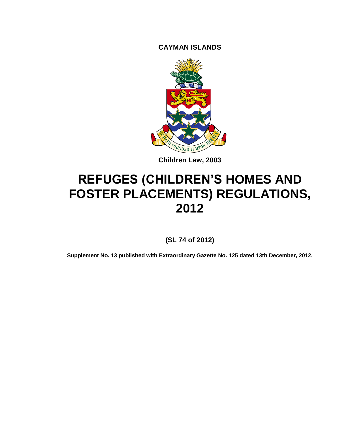**CAYMAN ISLANDS**



**Children Law, 2003**

# **REFUGES (CHILDREN'S HOMES AND FOSTER PLACEMENTS) REGULATIONS, 2012**

**(SL 74 of 2012)**

**Supplement No. 13 published with Extraordinary Gazette No. 125 dated 13th December, 2012.**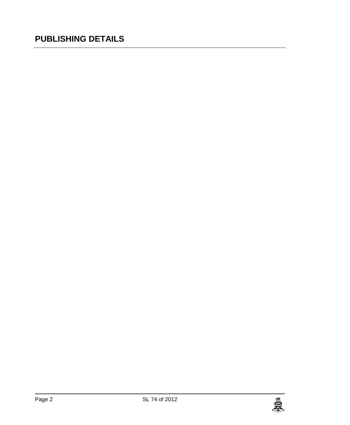# **PUBLISHING DETAILS**

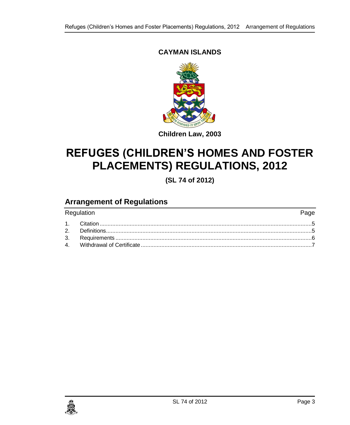### **CAYMAN ISLANDS**



### **Children Law, 2003**

# **REFUGES (CHILDREN'S HOMES AND FOSTER PLACEMENTS) REGULATIONS, 2012**

**(SL 74 of 2012)**

### **Arrangement of Regulations**

| Regulation | Page |
|------------|------|
|            |      |
|            |      |
|            |      |
|            |      |

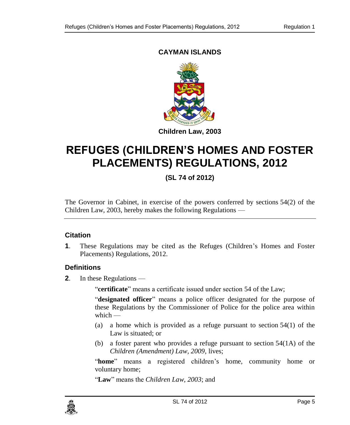### **CAYMAN ISLANDS**



# **REFUGES (CHILDREN'S HOMES AND FOSTER PLACEMENTS) REGULATIONS, 2012**

## **(SL 74 of 2012)**

The Governor in Cabinet, in exercise of the powers conferred by sections 54(2) of the Children Law, 2003, hereby makes the following Regulations —

### <span id="page-4-0"></span>**1. Citation**

**1**. These Regulations may be cited as the Refuges (Children's Homes and Foster Placements) Regulations, 2012.

### <span id="page-4-1"></span>**2. Definitions**

**2**. In these Regulations —

"**certificate**" means a certificate issued under section 54 of the Law;

"**designated officer**" means a police officer designated for the purpose of these Regulations by the Commissioner of Police for the police area within which —

- (a) a home which is provided as a refuge pursuant to section 54(1) of the Law is situated; or
- (b) a foster parent who provides a refuge pursuant to section 54(1A) of the *Children (Amendment) Law, 2009*, lives;

"**home**" means a registered children's home, community home or voluntary home;

"**Law**" means the *Children Law, 2003*; and

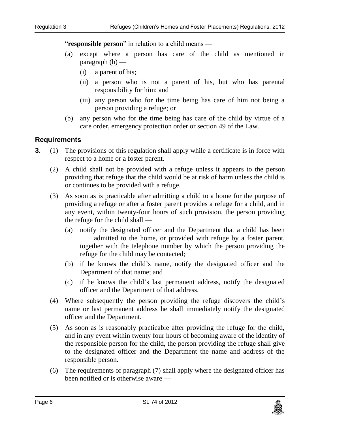"**responsible person**" in relation to a child means —

- (a) except where a person has care of the child as mentioned in  $paragraph (b)$  —
	- (i) a parent of his;
	- (ii) a person who is not a parent of his, but who has parental responsibility for him; and
	- (iii) any person who for the time being has care of him not being a person providing a refuge; or
- (b) any person who for the time being has care of the child by virtue of a care order, emergency protection order or section 49 of the Law.

#### <span id="page-5-0"></span>**3. Requirements**

- **3**. (1) The provisions of this regulation shall apply while a certificate is in force with respect to a home or a foster parent.
	- (2) A child shall not be provided with a refuge unless it appears to the person providing that refuge that the child would be at risk of harm unless the child is or continues to be provided with a refuge.
	- (3) As soon as is practicable after admitting a child to a home for the purpose of providing a refuge or after a foster parent provides a refuge for a child, and in any event, within twenty-four hours of such provision, the person providing the refuge for the child shall —
		- (a) notify the designated officer and the Department that a child has been admitted to the home, or provided with refuge by a foster parent, together with the telephone number by which the person providing the refuge for the child may be contacted;
		- (b) if he knows the child's name, notify the designated officer and the Department of that name; and
		- (c) if he knows the child's last permanent address, notify the designated officer and the Department of that address.
	- (4) Where subsequently the person providing the refuge discovers the child's name or last permanent address he shall immediately notify the designated officer and the Department.
	- (5) As soon as is reasonably practicable after providing the refuge for the child, and in any event within twenty four hours of becoming aware of the identity of the responsible person for the child, the person providing the refuge shall give to the designated officer and the Department the name and address of the responsible person.
	- (6) The requirements of paragraph (7) shall apply where the designated officer has been notified or is otherwise aware —

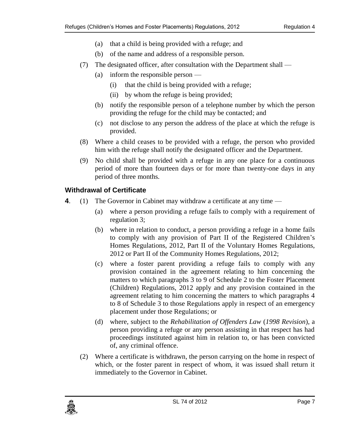- (a) that a child is being provided with a refuge; and
- (b) of the name and address of a responsible person.
- (7) The designated officer, after consultation with the Department shall
	- (a) inform the responsible person
		- (i) that the child is being provided with a refuge;
		- (ii) by whom the refuge is being provided;
	- (b) notify the responsible person of a telephone number by which the person providing the refuge for the child may be contacted; and
	- (c) not disclose to any person the address of the place at which the refuge is provided.
- (8) Where a child ceases to be provided with a refuge, the person who provided him with the refuge shall notify the designated officer and the Department.
- (9) No child shall be provided with a refuge in any one place for a continuous period of more than fourteen days or for more than twenty-one days in any period of three months.

#### <span id="page-6-0"></span>**4. Withdrawal of Certificate**

- **4**. (1) The Governor in Cabinet may withdraw a certificate at any time
	- (a) where a person providing a refuge fails to comply with a requirement of regulation 3;
	- (b) where in relation to conduct, a person providing a refuge in a home fails to comply with any provision of Part II of the Registered Children's Homes Regulations, 2012, Part II of the Voluntary Homes Regulations, 2012 or Part II of the Community Homes Regulations, 2012;
	- (c) where a foster parent providing a refuge fails to comply with any provision contained in the agreement relating to him concerning the matters to which paragraphs 3 to 9 of Schedule 2 to the Foster Placement (Children) Regulations, 2012 apply and any provision contained in the agreement relating to him concerning the matters to which paragraphs 4 to 8 of Schedule 3 to those Regulations apply in respect of an emergency placement under those Regulations; or
	- (d) where, subject to the *Rehabilitation of Offenders Law* (*1998 Revision*), a person providing a refuge or any person assisting in that respect has had proceedings instituted against him in relation to, or has been convicted of, any criminal offence.
	- (2) Where a certificate is withdrawn, the person carrying on the home in respect of which, or the foster parent in respect of whom, it was issued shall return it immediately to the Governor in Cabinet.